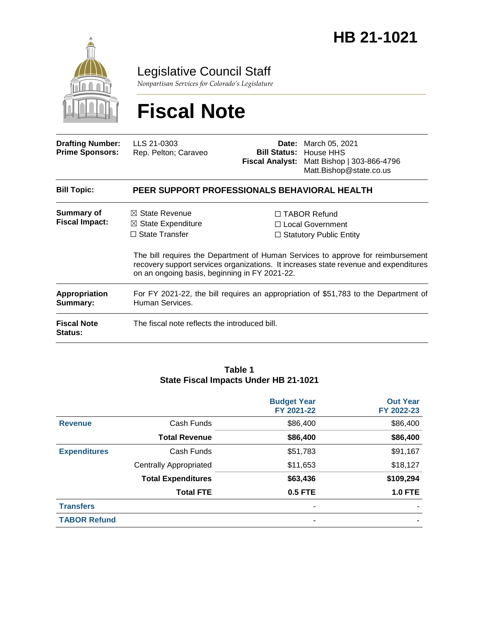

Legislative Council Staff

*Nonpartisan Services for Colorado's Legislature*

# **Fiscal Note**

| <b>Drafting Number:</b><br><b>Prime Sponsors:</b> | LLS 21-0303<br>Rep. Pelton; Caraveo                                                                                                  | Date: | March 05, 2021<br><b>Bill Status: House HHS</b><br>Fiscal Analyst: Matt Bishop   303-866-4796<br>Matt.Bishop@state.co.us                                                                                                                                    |
|---------------------------------------------------|--------------------------------------------------------------------------------------------------------------------------------------|-------|-------------------------------------------------------------------------------------------------------------------------------------------------------------------------------------------------------------------------------------------------------------|
| <b>Bill Topic:</b>                                | PEER SUPPORT PROFESSIONALS BEHAVIORAL HEALTH                                                                                         |       |                                                                                                                                                                                                                                                             |
| Summary of<br><b>Fiscal Impact:</b>               | $\boxtimes$ State Revenue<br>$\boxtimes$ State Expenditure<br>$\Box$ State Transfer<br>on an ongoing basis, beginning in FY 2021-22. |       | $\Box$ TABOR Refund<br>$\Box$ Local Government<br>$\Box$ Statutory Public Entity<br>The bill requires the Department of Human Services to approve for reimbursement<br>recovery support services organizations. It increases state revenue and expenditures |
| <b>Appropriation</b><br>Summary:                  | For FY 2021-22, the bill requires an appropriation of \$51,783 to the Department of<br>Human Services.                               |       |                                                                                                                                                                                                                                                             |
| <b>Fiscal Note</b><br><b>Status:</b>              | The fiscal note reflects the introduced bill.                                                                                        |       |                                                                                                                                                                                                                                                             |

#### **Table 1 State Fiscal Impacts Under HB 21-1021**

|                     |                               | <b>Budget Year</b><br>FY 2021-22 | <b>Out Year</b><br>FY 2022-23 |
|---------------------|-------------------------------|----------------------------------|-------------------------------|
| <b>Revenue</b>      | Cash Funds                    | \$86,400                         | \$86,400                      |
|                     | <b>Total Revenue</b>          | \$86,400                         | \$86,400                      |
| <b>Expenditures</b> | Cash Funds                    | \$51,783                         | \$91,167                      |
|                     | <b>Centrally Appropriated</b> | \$11,653                         | \$18,127                      |
|                     | <b>Total Expenditures</b>     | \$63,436                         | \$109,294                     |
|                     | <b>Total FTE</b>              | <b>0.5 FTE</b>                   | <b>1.0 FTE</b>                |
| <b>Transfers</b>    |                               | ۰                                |                               |
| <b>TABOR Refund</b> |                               | -                                |                               |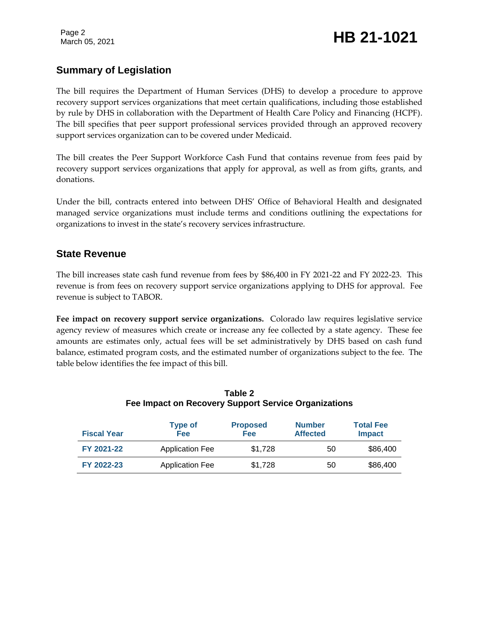# **Summary of Legislation**

The bill requires the Department of Human Services (DHS) to develop a procedure to approve recovery support services organizations that meet certain qualifications, including those established by rule by DHS in collaboration with the Department of Health Care Policy and Financing (HCPF). The bill specifies that peer support professional services provided through an approved recovery support services organization can to be covered under Medicaid.

The bill creates the Peer Support Workforce Cash Fund that contains revenue from fees paid by recovery support services organizations that apply for approval, as well as from gifts, grants, and donations.

Under the bill, contracts entered into between DHS' Office of Behavioral Health and designated managed service organizations must include terms and conditions outlining the expectations for organizations to invest in the state's recovery services infrastructure.

## **State Revenue**

The bill increases state cash fund revenue from fees by \$86,400 in FY 2021-22 and FY 2022-23. This revenue is from fees on recovery support service organizations applying to DHS for approval. Fee revenue is subject to TABOR.

**Fee impact on recovery support service organizations.** Colorado law requires legislative service agency review of measures which create or increase any fee collected by a state agency. These fee amounts are estimates only, actual fees will be set administratively by DHS based on cash fund balance, estimated program costs, and the estimated number of organizations subject to the fee. The table below identifies the fee impact of this bill.

| <b>Fiscal Year</b> | <b>Type of</b><br><b>Fee</b> | <b>Proposed</b><br>Fee | <b>Number</b><br><b>Affected</b> | <b>Total Fee</b><br><b>Impact</b> |
|--------------------|------------------------------|------------------------|----------------------------------|-----------------------------------|
| FY 2021-22         | <b>Application Fee</b>       | \$1.728                | 50                               | \$86,400                          |
| FY 2022-23         | <b>Application Fee</b>       | \$1,728                | 50                               | \$86,400                          |

| Table 2                                              |
|------------------------------------------------------|
| Fee Impact on Recovery Support Service Organizations |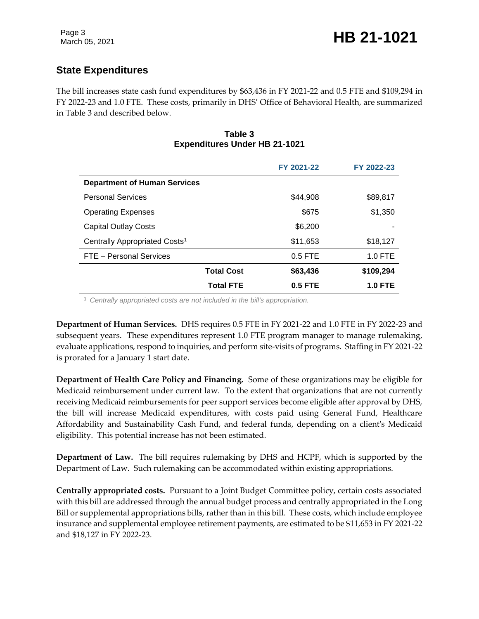# **State Expenditures**

The bill increases state cash fund expenditures by \$63,436 in FY 2021-22 and 0.5 FTE and \$109,294 in FY 2022-23 and 1.0 FTE. These costs, primarily in DHS' Office of Behavioral Health, are summarized in Table 3 and described below.

#### **Table 3 Expenditures Under HB 21-1021**

|                                           |                   | FY 2021-22     | FY 2022-23     |
|-------------------------------------------|-------------------|----------------|----------------|
| <b>Department of Human Services</b>       |                   |                |                |
| <b>Personal Services</b>                  |                   | \$44.908       | \$89,817       |
| <b>Operating Expenses</b>                 |                   | \$675          | \$1,350        |
| <b>Capital Outlay Costs</b>               |                   | \$6,200        |                |
| Centrally Appropriated Costs <sup>1</sup> |                   | \$11,653       | \$18,127       |
| FTE - Personal Services                   |                   | $0.5$ FTE      | $1.0$ FTE      |
|                                           | <b>Total Cost</b> | \$63,436       | \$109,294      |
|                                           | <b>Total FTE</b>  | <b>0.5 FTE</b> | <b>1.0 FTE</b> |

<sup>1</sup> *Centrally appropriated costs are not included in the bill's appropriation.*

**Department of Human Services.** DHS requires 0.5 FTE in FY 2021-22 and 1.0 FTE in FY 2022-23 and subsequent years. These expenditures represent 1.0 FTE program manager to manage rulemaking, evaluate applications, respond to inquiries, and perform site-visits of programs. Staffing in FY 2021-22 is prorated for a January 1 start date.

**Department of Health Care Policy and Financing.** Some of these organizations may be eligible for Medicaid reimbursement under current law. To the extent that organizations that are not currently receiving Medicaid reimbursements for peer support services become eligible after approval by DHS, the bill will increase Medicaid expenditures, with costs paid using General Fund, Healthcare Affordability and Sustainability Cash Fund, and federal funds, depending on a client's Medicaid eligibility. This potential increase has not been estimated.

**Department of Law.** The bill requires rulemaking by DHS and HCPF, which is supported by the Department of Law. Such rulemaking can be accommodated within existing appropriations.

**Centrally appropriated costs.** Pursuant to a Joint Budget Committee policy, certain costs associated with this bill are addressed through the annual budget process and centrally appropriated in the Long Bill or supplemental appropriations bills, rather than in this bill. These costs, which include employee insurance and supplemental employee retirement payments, are estimated to be \$11,653 in FY 2021-22 and \$18,127 in FY 2022-23.